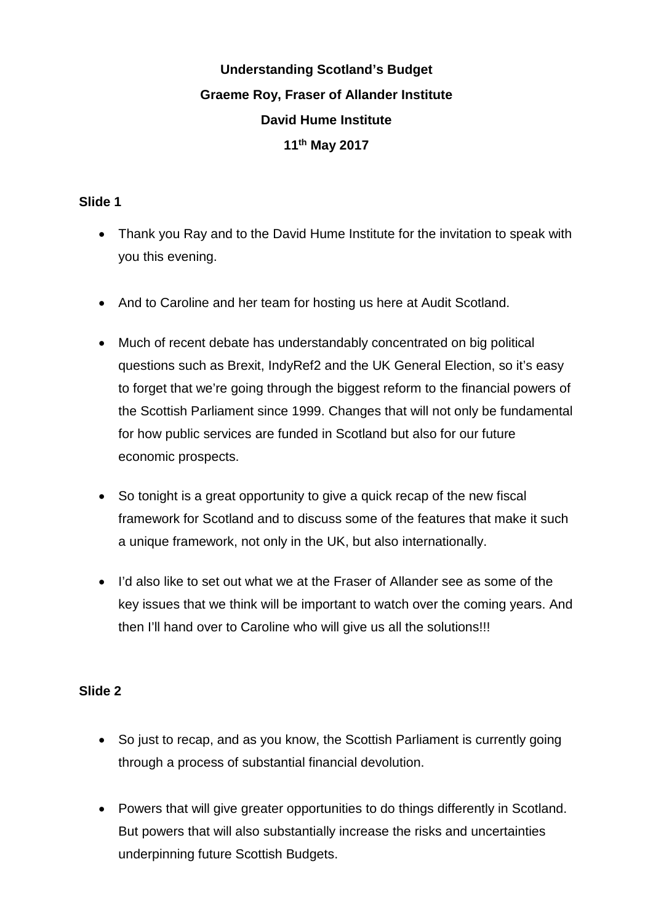# **Understanding Scotland's Budget Graeme Roy, Fraser of Allander Institute David Hume Institute 11th May 2017**

# **Slide 1**

- Thank you Ray and to the David Hume Institute for the invitation to speak with you this evening.
- And to Caroline and her team for hosting us here at Audit Scotland.
- Much of recent debate has understandably concentrated on big political questions such as Brexit, IndyRef2 and the UK General Election, so it's easy to forget that we're going through the biggest reform to the financial powers of the Scottish Parliament since 1999. Changes that will not only be fundamental for how public services are funded in Scotland but also for our future economic prospects.
- So tonight is a great opportunity to give a quick recap of the new fiscal framework for Scotland and to discuss some of the features that make it such a unique framework, not only in the UK, but also internationally.
- I'd also like to set out what we at the Fraser of Allander see as some of the key issues that we think will be important to watch over the coming years. And then I'll hand over to Caroline who will give us all the solutions!!!

- So just to recap, and as you know, the Scottish Parliament is currently going through a process of substantial financial devolution.
- Powers that will give greater opportunities to do things differently in Scotland. But powers that will also substantially increase the risks and uncertainties underpinning future Scottish Budgets.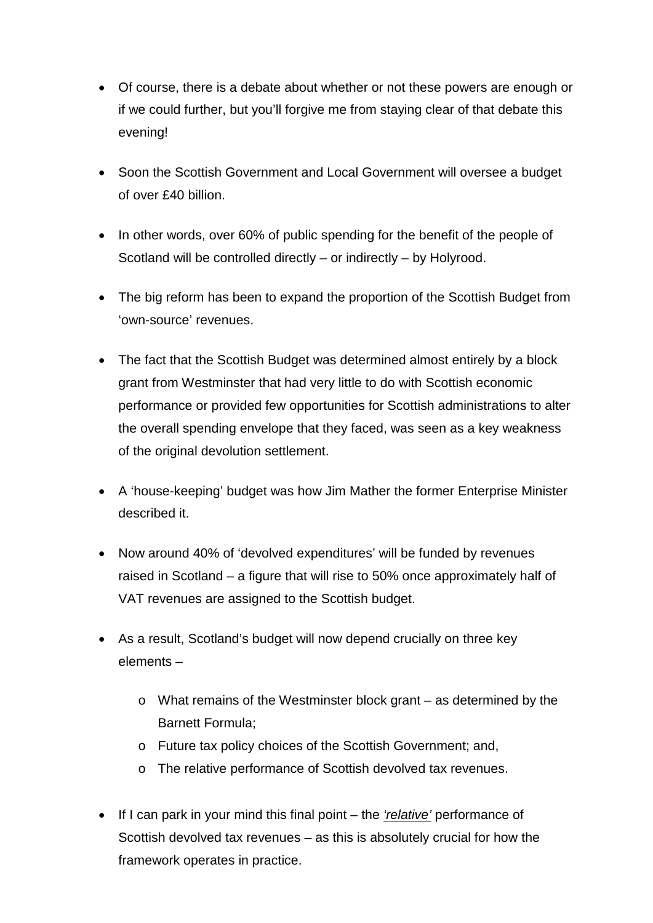- Of course, there is a debate about whether or not these powers are enough or if we could further, but you'll forgive me from staying clear of that debate this evening!
- Soon the Scottish Government and Local Government will oversee a budget of over £40 billion.
- In other words, over 60% of public spending for the benefit of the people of Scotland will be controlled directly – or indirectly – by Holyrood.
- The big reform has been to expand the proportion of the Scottish Budget from 'own-source' revenues.
- The fact that the Scottish Budget was determined almost entirely by a block grant from Westminster that had very little to do with Scottish economic performance or provided few opportunities for Scottish administrations to alter the overall spending envelope that they faced, was seen as a key weakness of the original devolution settlement.
- A 'house-keeping' budget was how Jim Mather the former Enterprise Minister described it.
- Now around 40% of 'devolved expenditures' will be funded by revenues raised in Scotland – a figure that will rise to 50% once approximately half of VAT revenues are assigned to the Scottish budget.
- As a result, Scotland's budget will now depend crucially on three key elements –
	- o What remains of the Westminster block grant as determined by the Barnett Formula;
	- o Future tax policy choices of the Scottish Government; and,
	- o The relative performance of Scottish devolved tax revenues.
- If I can park in your mind this final point the *'relative'* performance of Scottish devolved tax revenues – as this is absolutely crucial for how the framework operates in practice.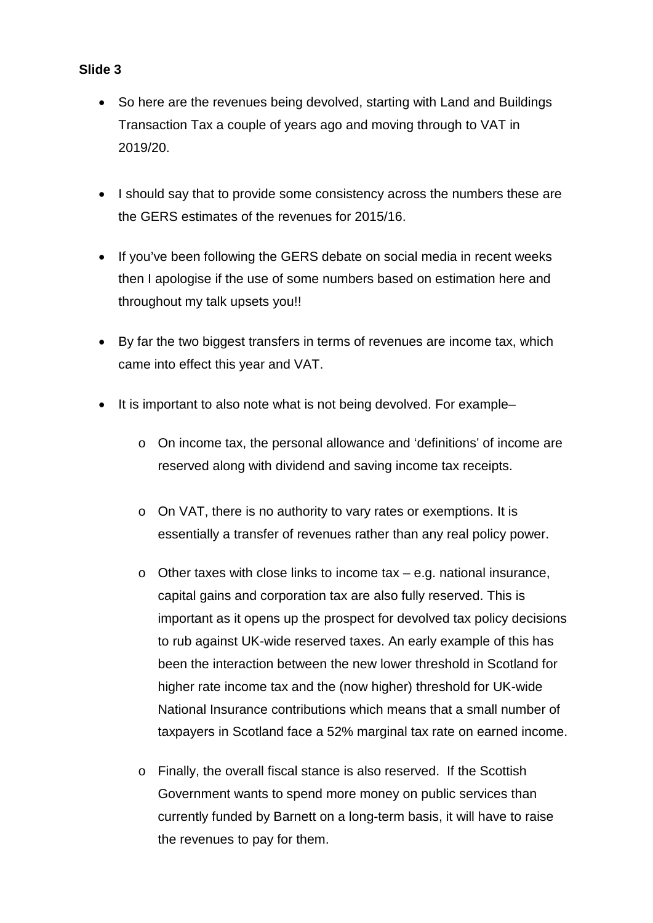- So here are the revenues being devolved, starting with Land and Buildings Transaction Tax a couple of years ago and moving through to VAT in 2019/20.
- I should say that to provide some consistency across the numbers these are the GERS estimates of the revenues for 2015/16.
- If you've been following the GERS debate on social media in recent weeks then I apologise if the use of some numbers based on estimation here and throughout my talk upsets you!!
- By far the two biggest transfers in terms of revenues are income tax, which came into effect this year and VAT.
- It is important to also note what is not being devolved. For example
	- o On income tax, the personal allowance and 'definitions' of income are reserved along with dividend and saving income tax receipts.
	- o On VAT, there is no authority to vary rates or exemptions. It is essentially a transfer of revenues rather than any real policy power.
	- o Other taxes with close links to income tax e.g. national insurance, capital gains and corporation tax are also fully reserved. This is important as it opens up the prospect for devolved tax policy decisions to rub against UK-wide reserved taxes. An early example of this has been the interaction between the new lower threshold in Scotland for higher rate income tax and the (now higher) threshold for UK-wide National Insurance contributions which means that a small number of taxpayers in Scotland face a 52% marginal tax rate on earned income.
	- o Finally, the overall fiscal stance is also reserved. If the Scottish Government wants to spend more money on public services than currently funded by Barnett on a long-term basis, it will have to raise the revenues to pay for them.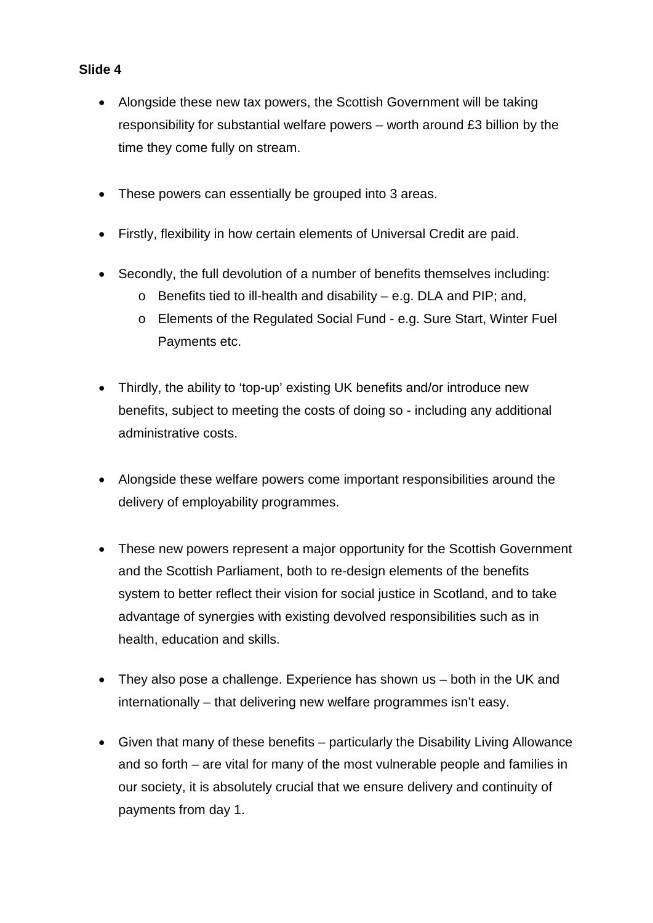- Alongside these new tax powers, the Scottish Government will be taking responsibility for substantial welfare powers – worth around £3 billion by the time they come fully on stream.
- These powers can essentially be grouped into 3 areas.
- Firstly, flexibility in how certain elements of Universal Credit are paid.
- Secondly, the full devolution of a number of benefits themselves including:
	- $\circ$  Benefits tied to ill-health and disability e.g. DLA and PIP; and,
	- o Elements of the Regulated Social Fund e.g. Sure Start, Winter Fuel Payments etc.
- Thirdly, the ability to 'top-up' existing UK benefits and/or introduce new benefits, subject to meeting the costs of doing so - including any additional administrative costs.
- Alongside these welfare powers come important responsibilities around the delivery of employability programmes.
- These new powers represent a major opportunity for the Scottish Government and the Scottish Parliament, both to re-design elements of the benefits system to better reflect their vision for social justice in Scotland, and to take advantage of synergies with existing devolved responsibilities such as in health, education and skills.
- They also pose a challenge. Experience has shown us both in the UK and internationally – that delivering new welfare programmes isn't easy.
- Given that many of these benefits particularly the Disability Living Allowance and so forth – are vital for many of the most vulnerable people and families in our society, it is absolutely crucial that we ensure delivery and continuity of payments from day 1.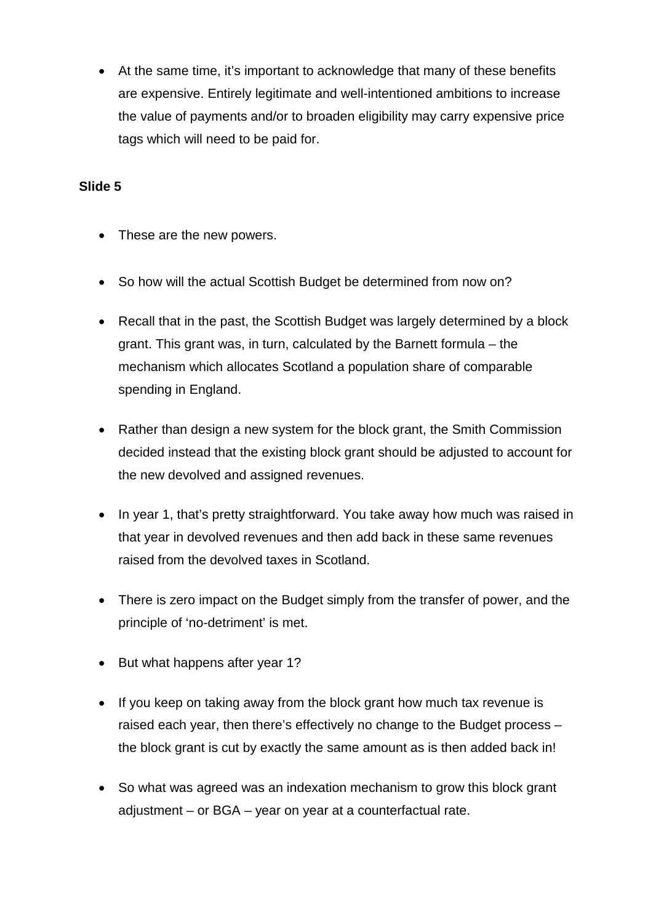• At the same time, it's important to acknowledge that many of these benefits are expensive. Entirely legitimate and well-intentioned ambitions to increase the value of payments and/or to broaden eligibility may carry expensive price tags which will need to be paid for.

- These are the new powers.
- So how will the actual Scottish Budget be determined from now on?
- Recall that in the past, the Scottish Budget was largely determined by a block grant. This grant was, in turn, calculated by the Barnett formula – the mechanism which allocates Scotland a population share of comparable spending in England.
- Rather than design a new system for the block grant, the Smith Commission decided instead that the existing block grant should be adjusted to account for the new devolved and assigned revenues.
- In year 1, that's pretty straightforward. You take away how much was raised in that year in devolved revenues and then add back in these same revenues raised from the devolved taxes in Scotland.
- There is zero impact on the Budget simply from the transfer of power, and the principle of 'no-detriment' is met.
- But what happens after year 1?
- If you keep on taking away from the block grant how much tax revenue is raised each year, then there's effectively no change to the Budget process – the block grant is cut by exactly the same amount as is then added back in!
- So what was agreed was an indexation mechanism to grow this block grant adjustment – or BGA – year on year at a counterfactual rate.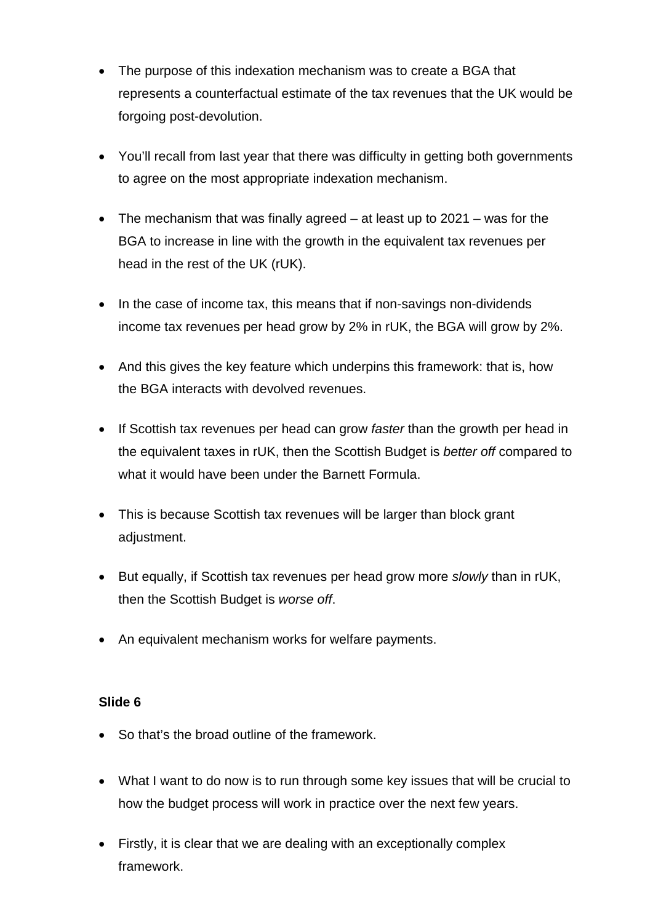- The purpose of this indexation mechanism was to create a BGA that represents a counterfactual estimate of the tax revenues that the UK would be forgoing post-devolution.
- You'll recall from last year that there was difficulty in getting both governments to agree on the most appropriate indexation mechanism.
- The mechanism that was finally agreed at least up to 2021 was for the BGA to increase in line with the growth in the equivalent tax revenues per head in the rest of the UK (rUK).
- In the case of income tax, this means that if non-savings non-dividends income tax revenues per head grow by 2% in rUK, the BGA will grow by 2%.
- And this gives the key feature which underpins this framework: that is, how the BGA interacts with devolved revenues.
- If Scottish tax revenues per head can grow *faster* than the growth per head in the equivalent taxes in rUK, then the Scottish Budget is *better off* compared to what it would have been under the Barnett Formula.
- This is because Scottish tax revenues will be larger than block grant adjustment.
- But equally, if Scottish tax revenues per head grow more *slowly* than in rUK, then the Scottish Budget is *worse off*.
- An equivalent mechanism works for welfare payments.

- So that's the broad outline of the framework.
- What I want to do now is to run through some key issues that will be crucial to how the budget process will work in practice over the next few years.
- Firstly, it is clear that we are dealing with an exceptionally complex framework.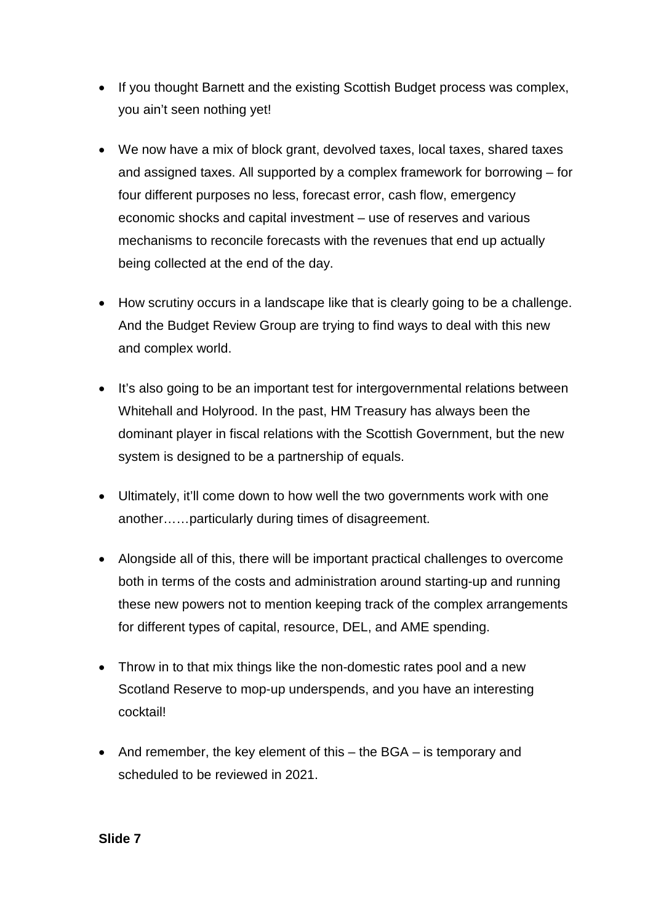- If you thought Barnett and the existing Scottish Budget process was complex, you ain't seen nothing yet!
- We now have a mix of block grant, devolved taxes, local taxes, shared taxes and assigned taxes. All supported by a complex framework for borrowing – for four different purposes no less, forecast error, cash flow, emergency economic shocks and capital investment – use of reserves and various mechanisms to reconcile forecasts with the revenues that end up actually being collected at the end of the day.
- How scrutiny occurs in a landscape like that is clearly going to be a challenge. And the Budget Review Group are trying to find ways to deal with this new and complex world.
- It's also going to be an important test for intergovernmental relations between Whitehall and Holyrood. In the past, HM Treasury has always been the dominant player in fiscal relations with the Scottish Government, but the new system is designed to be a partnership of equals.
- Ultimately, it'll come down to how well the two governments work with one another……particularly during times of disagreement.
- Alongside all of this, there will be important practical challenges to overcome both in terms of the costs and administration around starting-up and running these new powers not to mention keeping track of the complex arrangements for different types of capital, resource, DEL, and AME spending.
- Throw in to that mix things like the non-domestic rates pool and a new Scotland Reserve to mop-up underspends, and you have an interesting cocktail!
- And remember, the key element of this the BGA is temporary and scheduled to be reviewed in 2021.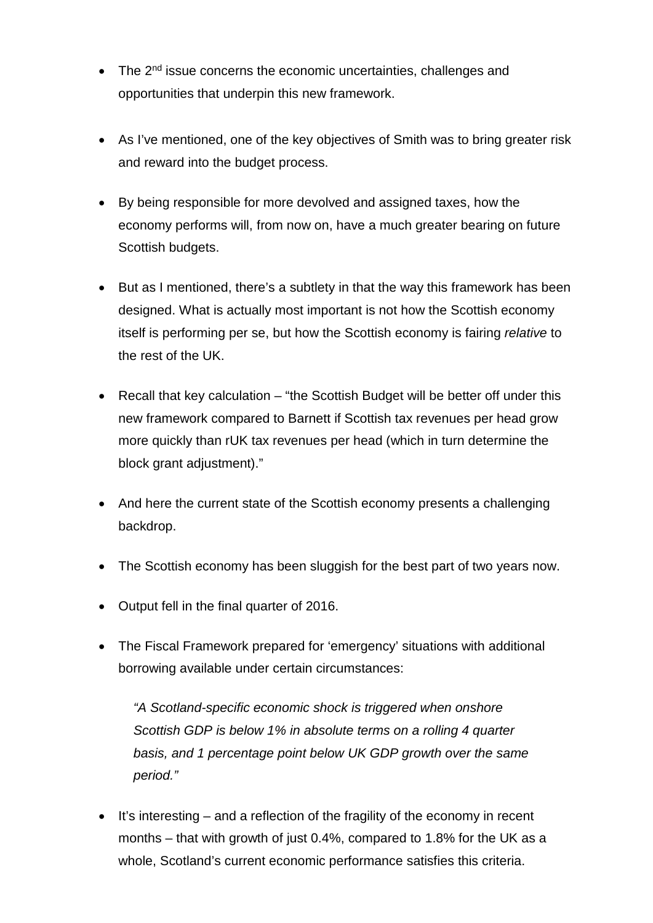- The 2<sup>nd</sup> issue concerns the economic uncertainties, challenges and opportunities that underpin this new framework.
- As I've mentioned, one of the key objectives of Smith was to bring greater risk and reward into the budget process.
- By being responsible for more devolved and assigned taxes, how the economy performs will, from now on, have a much greater bearing on future Scottish budgets.
- But as I mentioned, there's a subtlety in that the way this framework has been designed. What is actually most important is not how the Scottish economy itself is performing per se, but how the Scottish economy is fairing *relative* to the rest of the UK.
- Recall that key calculation "the Scottish Budget will be better off under this new framework compared to Barnett if Scottish tax revenues per head grow more quickly than rUK tax revenues per head (which in turn determine the block grant adjustment)."
- And here the current state of the Scottish economy presents a challenging backdrop.
- The Scottish economy has been sluggish for the best part of two years now.
- Output fell in the final quarter of 2016.
- The Fiscal Framework prepared for 'emergency' situations with additional borrowing available under certain circumstances:

*"A Scotland-specific economic shock is triggered when onshore Scottish GDP is below 1% in absolute terms on a rolling 4 quarter basis, and 1 percentage point below UK GDP growth over the same period."* 

• It's interesting – and a reflection of the fragility of the economy in recent months – that with growth of just 0.4%, compared to 1.8% for the UK as a whole, Scotland's current economic performance satisfies this criteria.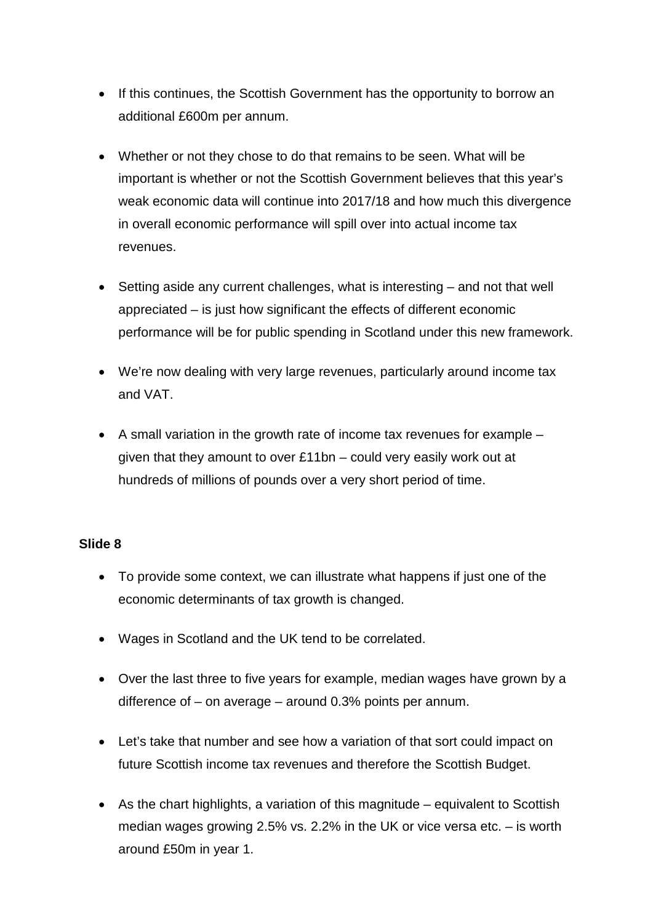- If this continues, the Scottish Government has the opportunity to borrow an additional £600m per annum.
- Whether or not they chose to do that remains to be seen. What will be important is whether or not the Scottish Government believes that this year's weak economic data will continue into 2017/18 and how much this divergence in overall economic performance will spill over into actual income tax revenues.
- Setting aside any current challenges, what is interesting and not that well appreciated – is just how significant the effects of different economic performance will be for public spending in Scotland under this new framework.
- We're now dealing with very large revenues, particularly around income tax and VAT.
- A small variation in the growth rate of income tax revenues for example given that they amount to over £11bn – could very easily work out at hundreds of millions of pounds over a very short period of time.

- To provide some context, we can illustrate what happens if just one of the economic determinants of tax growth is changed.
- Wages in Scotland and the UK tend to be correlated.
- Over the last three to five years for example, median wages have grown by a difference of – on average – around 0.3% points per annum.
- Let's take that number and see how a variation of that sort could impact on future Scottish income tax revenues and therefore the Scottish Budget.
- As the chart highlights, a variation of this magnitude equivalent to Scottish median wages growing 2.5% vs. 2.2% in the UK or vice versa etc. – is worth around £50m in year 1.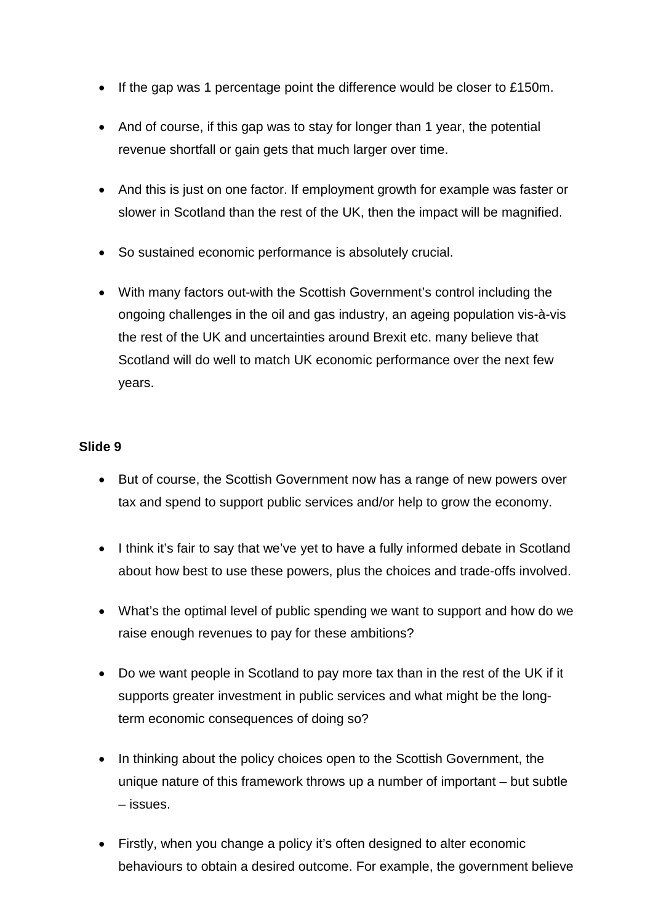- If the gap was 1 percentage point the difference would be closer to £150m.
- And of course, if this gap was to stay for longer than 1 year, the potential revenue shortfall or gain gets that much larger over time.
- And this is just on one factor. If employment growth for example was faster or slower in Scotland than the rest of the UK, then the impact will be magnified.
- So sustained economic performance is absolutely crucial.
- With many factors out-with the Scottish Government's control including the ongoing challenges in the oil and gas industry, an ageing population vis-à-vis the rest of the UK and uncertainties around Brexit etc. many believe that Scotland will do well to match UK economic performance over the next few years.

- But of course, the Scottish Government now has a range of new powers over tax and spend to support public services and/or help to grow the economy.
- I think it's fair to say that we've yet to have a fully informed debate in Scotland about how best to use these powers, plus the choices and trade-offs involved.
- What's the optimal level of public spending we want to support and how do we raise enough revenues to pay for these ambitions?
- Do we want people in Scotland to pay more tax than in the rest of the UK if it supports greater investment in public services and what might be the longterm economic consequences of doing so?
- In thinking about the policy choices open to the Scottish Government, the unique nature of this framework throws up a number of important – but subtle – issues.
- Firstly, when you change a policy it's often designed to alter economic behaviours to obtain a desired outcome. For example, the government believe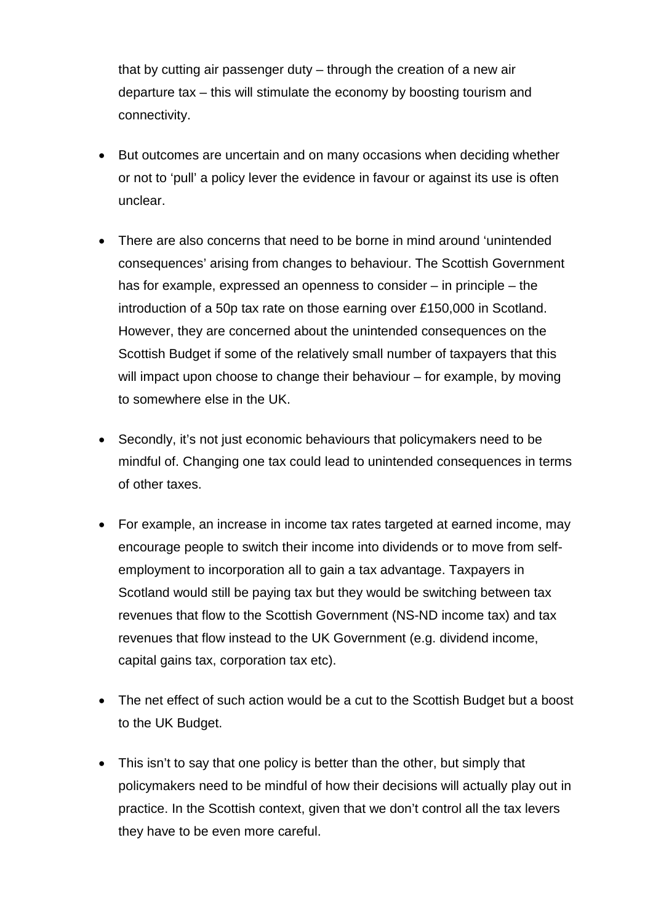that by cutting air passenger duty – through the creation of a new air departure tax – this will stimulate the economy by boosting tourism and connectivity.

- But outcomes are uncertain and on many occasions when deciding whether or not to 'pull' a policy lever the evidence in favour or against its use is often unclear.
- There are also concerns that need to be borne in mind around 'unintended consequences' arising from changes to behaviour. The Scottish Government has for example, expressed an openness to consider – in principle – the introduction of a 50p tax rate on those earning over £150,000 in Scotland. However, they are concerned about the unintended consequences on the Scottish Budget if some of the relatively small number of taxpayers that this will impact upon choose to change their behaviour – for example, by moving to somewhere else in the UK.
- Secondly, it's not just economic behaviours that policymakers need to be mindful of. Changing one tax could lead to unintended consequences in terms of other taxes.
- For example, an increase in income tax rates targeted at earned income, may encourage people to switch their income into dividends or to move from selfemployment to incorporation all to gain a tax advantage. Taxpayers in Scotland would still be paying tax but they would be switching between tax revenues that flow to the Scottish Government (NS-ND income tax) and tax revenues that flow instead to the UK Government (e.g. dividend income, capital gains tax, corporation tax etc).
- The net effect of such action would be a cut to the Scottish Budget but a boost to the UK Budget.
- This isn't to say that one policy is better than the other, but simply that policymakers need to be mindful of how their decisions will actually play out in practice. In the Scottish context, given that we don't control all the tax levers they have to be even more careful.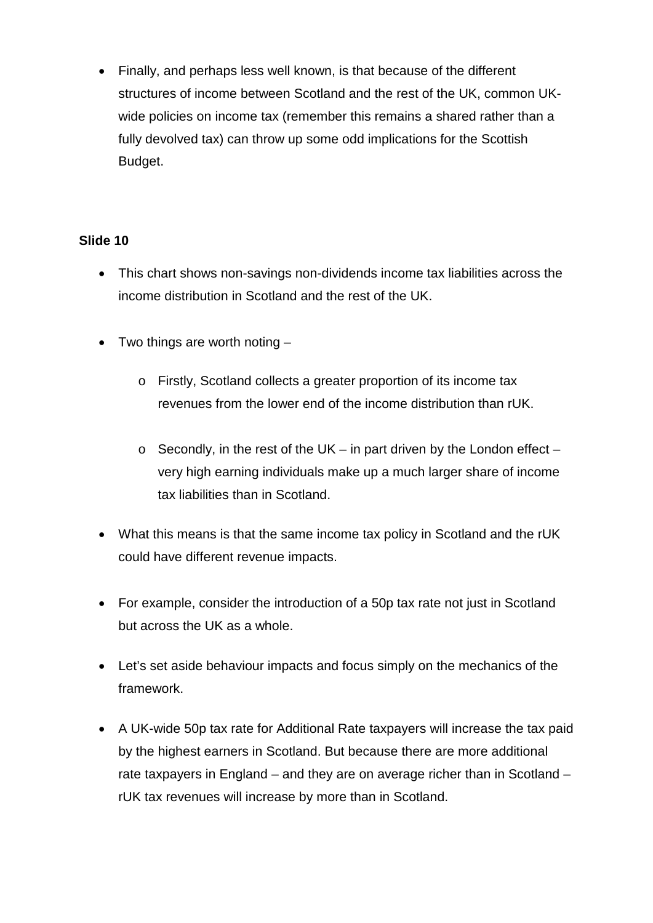• Finally, and perhaps less well known, is that because of the different structures of income between Scotland and the rest of the UK, common UKwide policies on income tax (remember this remains a shared rather than a fully devolved tax) can throw up some odd implications for the Scottish Budget.

- This chart shows non-savings non-dividends income tax liabilities across the income distribution in Scotland and the rest of the UK.
- Two things are worth noting  $$ 
	- o Firstly, Scotland collects a greater proportion of its income tax revenues from the lower end of the income distribution than rUK.
	- $\circ$  Secondly, in the rest of the UK in part driven by the London effect very high earning individuals make up a much larger share of income tax liabilities than in Scotland.
- What this means is that the same income tax policy in Scotland and the rUK could have different revenue impacts.
- For example, consider the introduction of a 50p tax rate not just in Scotland but across the UK as a whole.
- Let's set aside behaviour impacts and focus simply on the mechanics of the framework.
- A UK-wide 50p tax rate for Additional Rate taxpayers will increase the tax paid by the highest earners in Scotland. But because there are more additional rate taxpayers in England – and they are on average richer than in Scotland – rUK tax revenues will increase by more than in Scotland.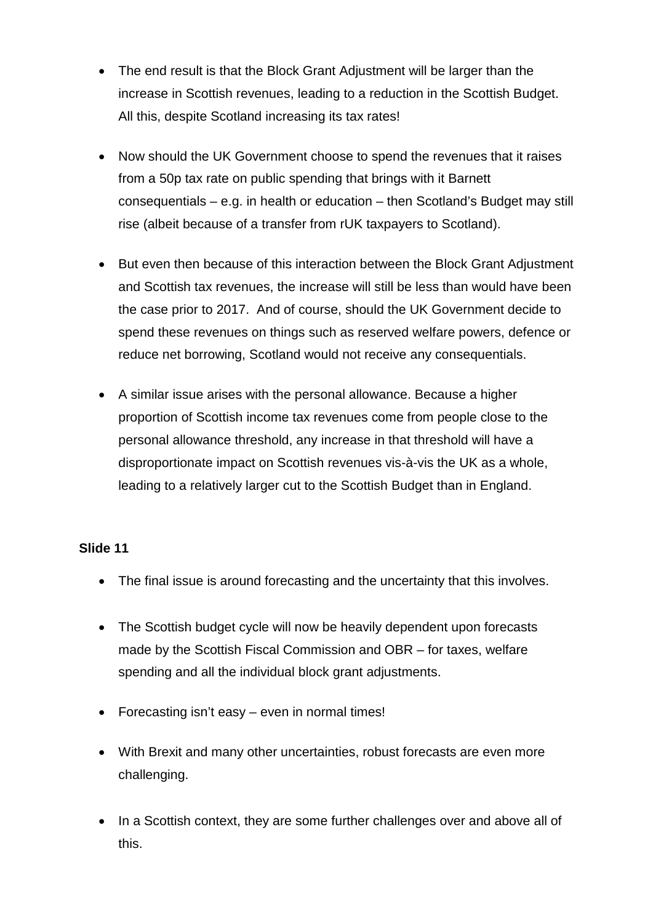- The end result is that the Block Grant Adjustment will be larger than the increase in Scottish revenues, leading to a reduction in the Scottish Budget. All this, despite Scotland increasing its tax rates!
- Now should the UK Government choose to spend the revenues that it raises from a 50p tax rate on public spending that brings with it Barnett consequentials – e.g. in health or education – then Scotland's Budget may still rise (albeit because of a transfer from rUK taxpayers to Scotland).
- But even then because of this interaction between the Block Grant Adjustment and Scottish tax revenues, the increase will still be less than would have been the case prior to 2017. And of course, should the UK Government decide to spend these revenues on things such as reserved welfare powers, defence or reduce net borrowing, Scotland would not receive any consequentials.
- A similar issue arises with the personal allowance. Because a higher proportion of Scottish income tax revenues come from people close to the personal allowance threshold, any increase in that threshold will have a disproportionate impact on Scottish revenues vis-à-vis the UK as a whole, leading to a relatively larger cut to the Scottish Budget than in England.

- The final issue is around forecasting and the uncertainty that this involves.
- The Scottish budget cycle will now be heavily dependent upon forecasts made by the Scottish Fiscal Commission and OBR – for taxes, welfare spending and all the individual block grant adjustments.
- Forecasting isn't easy even in normal times!
- With Brexit and many other uncertainties, robust forecasts are even more challenging.
- In a Scottish context, they are some further challenges over and above all of this.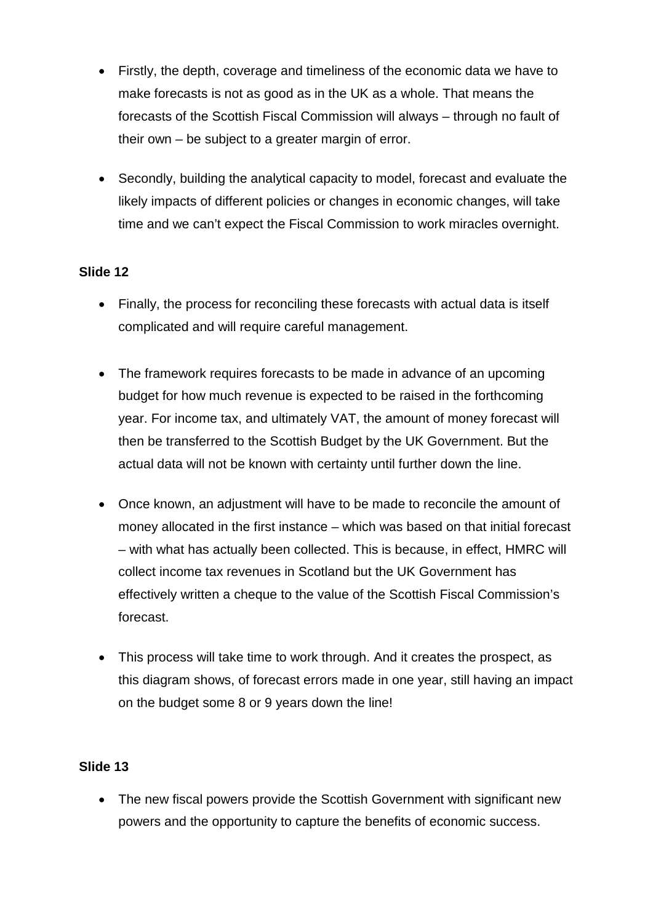- Firstly, the depth, coverage and timeliness of the economic data we have to make forecasts is not as good as in the UK as a whole. That means the forecasts of the Scottish Fiscal Commission will always – through no fault of their own – be subject to a greater margin of error.
- Secondly, building the analytical capacity to model, forecast and evaluate the likely impacts of different policies or changes in economic changes, will take time and we can't expect the Fiscal Commission to work miracles overnight.

- Finally, the process for reconciling these forecasts with actual data is itself complicated and will require careful management.
- The framework requires forecasts to be made in advance of an upcoming budget for how much revenue is expected to be raised in the forthcoming year. For income tax, and ultimately VAT, the amount of money forecast will then be transferred to the Scottish Budget by the UK Government. But the actual data will not be known with certainty until further down the line.
- Once known, an adjustment will have to be made to reconcile the amount of money allocated in the first instance – which was based on that initial forecast – with what has actually been collected. This is because, in effect, HMRC will collect income tax revenues in Scotland but the UK Government has effectively written a cheque to the value of the Scottish Fiscal Commission's forecast.
- This process will take time to work through. And it creates the prospect, as this diagram shows, of forecast errors made in one year, still having an impact on the budget some 8 or 9 years down the line!

## **Slide 13**

• The new fiscal powers provide the Scottish Government with significant new powers and the opportunity to capture the benefits of economic success.